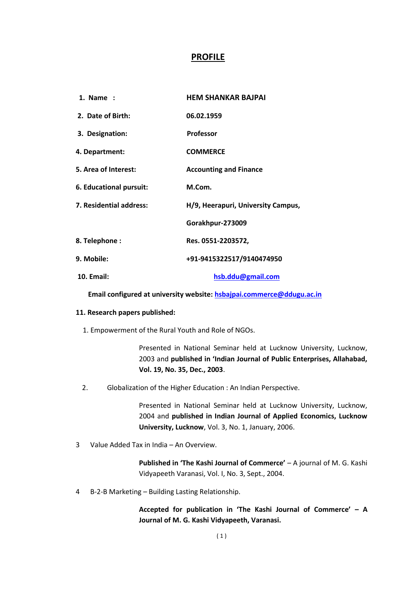# **PROFILE**

| 1. Name :               | <b>HEM SHANKAR BAJPAI</b>          |  |
|-------------------------|------------------------------------|--|
| 2. Date of Birth:       | 06.02.1959                         |  |
| 3. Designation:         | <b>Professor</b>                   |  |
| 4. Department:          | <b>COMMERCE</b>                    |  |
| 5. Area of Interest:    | <b>Accounting and Finance</b>      |  |
| 6. Educational pursuit: | M.Com.                             |  |
| 7. Residential address: | H/9, Heerapuri, University Campus, |  |
|                         | Gorakhpur-273009                   |  |
| 8. Telephone:           | Res. 0551-2203572,                 |  |
| 9. Mobile:              | +91-9415322517/9140474950          |  |
| <b>10. Email:</b>       | hsb.ddu@gmail.com                  |  |

 **Email configured at university website[: hsbajpai.commerce@ddugu.ac.in](mailto:hsbajpai.commerce@ddugu.ac.in)**

#### **11. Research papers published:**

1. Empowerment of the Rural Youth and Role of NGOs.

Presented in National Seminar held at Lucknow University, Lucknow, 2003 and **published in 'Indian Journal of Public Enterprises, Allahabad, Vol. 19, No. 35, Dec., 2003**.

2. Globalization of the Higher Education : An Indian Perspective.

Presented in National Seminar held at Lucknow University, Lucknow, 2004 and **published in Indian Journal of Applied Economics, Lucknow University, Lucknow**, Vol. 3, No. 1, January, 2006.

3 Value Added Tax in India – An Overview.

**Published in 'The Kashi Journal of Commerce'** – A journal of M. G. Kashi Vidyapeeth Varanasi, Vol. I, No. 3, Sept., 2004.

4 B-2-B Marketing – Building Lasting Relationship.

**Accepted for publication in 'The Kashi Journal of Commerce' – A Journal of M. G. Kashi Vidyapeeth, Varanasi.**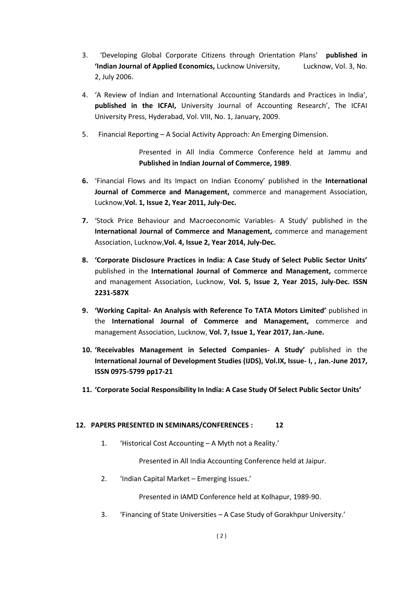- 3. 'Developing Global Corporate Citizens through Orientation Plans' **published in 'Indian Journal of Applied Economics,** Lucknow University, Lucknow, Vol. 3, No. 2, July 2006.
- 4. 'A Review of Indian and International Accounting Standards and Practices in India', **published in the ICFAI,** University Journal of Accounting Research', The ICFAI University Press, Hyderabad, Vol. VIII, No. 1, January, 2009.
- 5. Financial Reporting A Social Activity Approach: An Emerging Dimension.

Presented in All India Commerce Conference held at Jammu and **Published in Indian Journal of Commerce, 1989**.

- **6.** 'Financial Flows and Its Impact on Indian Economy' published in the **International Journal of Commerce and Management,** commerce and management Association, Lucknow,**Vol. 1, Issue 2, Year 2011, July-Dec.**
- **7.** 'Stock Price Behaviour and Macroeconomic Variables- A Study' published in the **International Journal of Commerce and Management,** commerce and management Association, Lucknow,**Vol. 4, Issue 2, Year 2014, July-Dec.**
- **8. 'Corporate Disclosure Practices in India: A Case Study of Select Public Sector Units'**  published in the **International Journal of Commerce and Management,** commerce and management Association, Lucknow, **Vol. 5, Issue 2, Year 2015, July-Dec. ISSN 2231-587X**
- **9. 'Working Capital- An Analysis with Reference To TATA Motors Limited'** published in the **International Journal of Commerce and Management,** commerce and management Association, Lucknow, **Vol. 7, Issue 1, Year 2017, Jan.-June.**
- **10. 'Receivables Management in Selected Companies- A Study'** published in the **International Journal of Development Studies (IJDS), Vol.IX, Issue- I, , Jan.-June 2017, ISSN 0975-5799 pp17-21**
- **11. 'Corporate Social Responsibility In India: A Case Study Of Select Public Sector Units'**

## **12. PAPERS PRESENTED IN SEMINARS/CONFERENCES : 12**

1. 'Historical Cost Accounting – A Myth not a Reality.'

Presented in All India Accounting Conference held at Jaipur.

2. 'Indian Capital Market – Emerging Issues.'

Presented in IAMD Conference held at Kolhapur, 1989-90.

3. 'Financing of State Universities – A Case Study of Gorakhpur University.'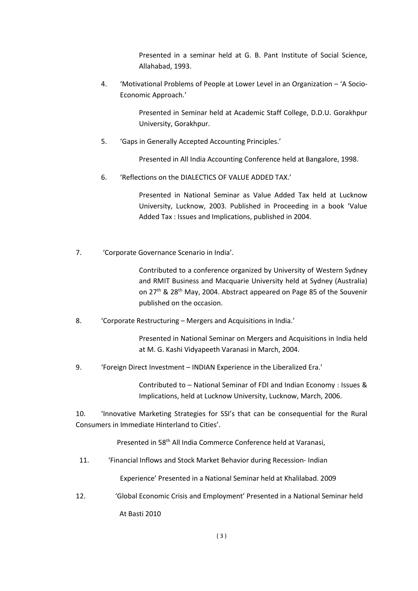Presented in a seminar held at G. B. Pant Institute of Social Science, Allahabad, 1993.

4. 'Motivational Problems of People at Lower Level in an Organization – 'A Socio-Economic Approach.'

> Presented in Seminar held at Academic Staff College, D.D.U. Gorakhpur University, Gorakhpur.

5. 'Gaps in Generally Accepted Accounting Principles.'

Presented in All India Accounting Conference held at Bangalore, 1998.

6. 'Reflections on the DIALECTICS OF VALUE ADDED TAX.'

Presented in National Seminar as Value Added Tax held at Lucknow University, Lucknow, 2003. Published in Proceeding in a book 'Value Added Tax : Issues and Implications, published in 2004.

7. 'Corporate Governance Scenario in India'.

Contributed to a conference organized by University of Western Sydney and RMIT Business and Macquarie University held at Sydney (Australia) on 27<sup>th</sup> & 28<sup>th</sup> May, 2004. Abstract appeared on Page 85 of the Souvenir published on the occasion.

8. 'Corporate Restructuring – Mergers and Acquisitions in India.'

Presented in National Seminar on Mergers and Acquisitions in India held at M. G. Kashi Vidyapeeth Varanasi in March, 2004.

9. 'Foreign Direct Investment – INDIAN Experience in the Liberalized Era.'

Contributed to – National Seminar of FDI and Indian Economy : Issues & Implications, held at Lucknow University, Lucknow, March, 2006.

10. 'Innovative Marketing Strategies for SSI's that can be consequential for the Rural Consumers in Immediate Hinterland to Cities'.

Presented in 58th All India Commerce Conference held at Varanasi,

11. 'Financial Inflows and Stock Market Behavior during Recession- Indian

Experience' Presented in a National Seminar held at Khalilabad. 2009

12. 'Global Economic Crisis and Employment' Presented in a National Seminar held At Basti 2010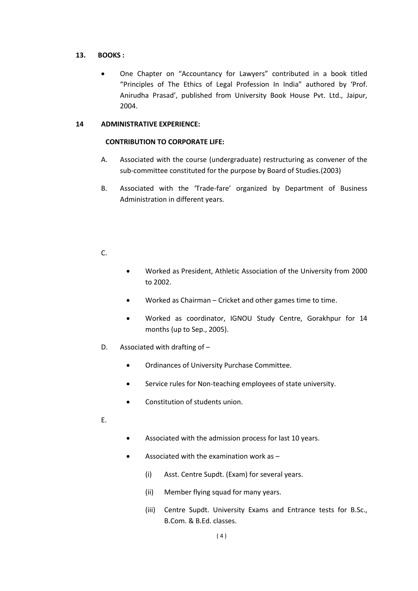## **13. BOOKS :**

• One Chapter on "Accountancy for Lawyers" contributed in a book titled "Principles of The Ethics of Legal Profession In India" authored by 'Prof. Anirudha Prasad', published from University Book House Pvt. Ltd., Jaipur, 2004.

## **14 ADMINISTRATIVE EXPERIENCE:**

## **CONTRIBUTION TO CORPORATE LIFE:**

- A. Associated with the course (undergraduate) restructuring as convener of the sub-committee constituted for the purpose by Board of Studies.(2003)
- B. Associated with the 'Trade-fare' organized by Department of Business Administration in different years.

## C.

- Worked as President, Athletic Association of the University from 2000 to 2002.
- Worked as Chairman Cricket and other games time to time.
- Worked as coordinator, IGNOU Study Centre, Gorakhpur for 14 months (up to Sep., 2005).
- D. Associated with drafting of
	- Ordinances of University Purchase Committee.
	- Service rules for Non-teaching employees of state university.
	- Constitution of students union.
- E.
- Associated with the admission process for last 10 years.
- Associated with the examination work as
	- (i) Asst. Centre Supdt. (Exam) for several years.
	- (ii) Member flying squad for many years.
	- (iii) Centre Supdt. University Exams and Entrance tests for B.Sc., B.Com. & B.Ed. classes.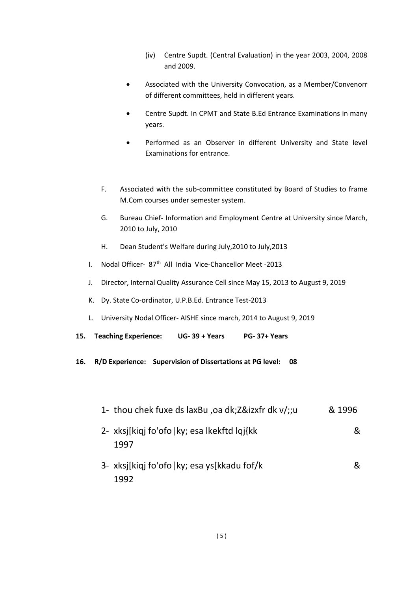- (iv) Centre Supdt. (Central Evaluation) in the year 2003, 2004, 2008 and 2009.
- Associated with the University Convocation, as a Member/Convenorr of different committees, held in different years.
- Centre Supdt. In CPMT and State B.Ed Entrance Examinations in many years.
- Performed as an Observer in different University and State level Examinations for entrance.
- F. Associated with the sub-committee constituted by Board of Studies to frame M.Com courses under semester system.
- G. Bureau Chief- Information and Employment Centre at University since March, 2010 to July, 2010
- H. Dean Student's Welfare during July,2010 to July,2013
- I. Nodal Officer- 87<sup>th</sup> All India Vice-Chancellor Meet -2013
- J. Director, Internal Quality Assurance Cell since May 15, 2013 to August 9, 2019
- K. Dy. State Co-ordinator, U.P.B.Ed. Entrance Test-2013
- L. University Nodal Officer- AISHE since march, 2014 to August 9, 2019
- **15. Teaching Experience: UG- 39 + Years PG- 37+ Years**
- **16. R/D Experience: Supervision of Dissertations at PG level: 08**
	- 1- thou chek fuxe ds laxBu ,oa dk;Z&izxfr dk v/;;u & 1996
	- 2- xksj[kiqj fo'ofo|ky; esa lkekftd lqj{kk & 1997
	- 3- xksj[kiqj fo'ofo|ky; esa ys[kkadu fof/k & 1992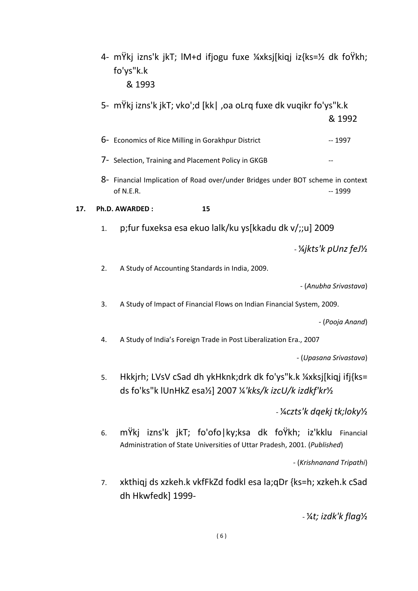|     |    | 4- mŸkj izns'k jkT; IM+d ifjogu fuxe ¼xksj[kiqj iz{ks=½ dk foŸkh;<br>fo'ys"k.k<br>& 1993                                               |                          |
|-----|----|----------------------------------------------------------------------------------------------------------------------------------------|--------------------------|
|     |    | 5- mŸkj izns'k jkT; vko';d [kk  ,oa oLrq fuxe dk vuqikr fo'ys"k.k                                                                      | & 1992                   |
|     |    | 6- Economics of Rice Milling in Gorakhpur District                                                                                     | $-1997$                  |
|     |    | 7- Selection, Training and Placement Policy in GKGB                                                                                    |                          |
|     |    | 8- Financial Implication of Road over/under Bridges under BOT scheme in context<br>of N.E.R.                                           | $-1999$                  |
| 17. |    | Ph.D. AWARDED:<br>15                                                                                                                   |                          |
|     | 1. | p;fur fuxeksa esa ekuo lalk/ku ys[kkadu dk v/;;u] 2009                                                                                 |                          |
|     |    |                                                                                                                                        | - ¼jkts'k pUnz feJ½      |
|     | 2. | A Study of Accounting Standards in India, 2009.                                                                                        |                          |
|     |    |                                                                                                                                        | - (Anubha Srivastava)    |
|     | 3. | A Study of Impact of Financial Flows on Indian Financial System, 2009.                                                                 |                          |
|     |    |                                                                                                                                        | - (Pooja Anand)          |
|     | 4. | A Study of India's Foreign Trade in Post Liberalization Era., 2007                                                                     |                          |
|     |    |                                                                                                                                        | - (Upasana Srivastava)   |
|     | 5. | Hkkjrh; LVsV cSad dh ykHknk;drk dk fo'ys"k.k ¼xksj[kiqj ifj{ks=<br>ds fo'ks"k lUnHkZ esa½] 2007 ¼'kks/k izcU/k izdkf'kr½               |                          |
|     |    | - ¼czts'k dąekį tk;loky½                                                                                                               |                          |
|     | 6. | mŸkj izns'k jkT; fo'ofo ky;ksa dk foŸkh; iz'kklu Financial<br>Administration of State Universities of Uttar Pradesh, 2001. (Published) |                          |
|     |    |                                                                                                                                        | - (Krishnanand Tripathi) |
|     |    |                                                                                                                                        |                          |

7. xkthiqj ds xzkeh.k vkfFkZd fodkl esa la;qDr {ks=h; xzkeh.k cSad dh Hkwfedk] 1999-

- ¼*t; izdk'k flag*½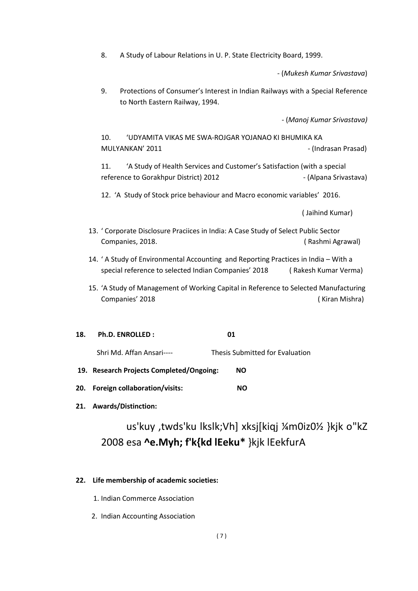8. A Study of Labour Relations in U. P. State Electricity Board, 1999.

- (*Mukesh Kumar Srivastava*)

9. Protections of Consumer's Interest in Indian Railways with a Special Reference to North Eastern Railway, 1994.

- (*Manoj Kumar Srivastava)*

10. 'UDYAMITA VIKAS ME SWA-ROJGAR YOJANAO KI BHUMIKA KA MULYANKAN' 2011 **MULYANKAN' 2011 1998** 

11. 'A Study of Health Services and Customer's Satisfaction (with a special reference to Gorakhpur District) 2012 - The Contract (Alpana Srivastava)

12. 'A Study of Stock price behaviour and Macro economic variables' 2016.

( Jaihind Kumar)

- 13. ' Corporate Disclosure Praciices in India: A Case Study of Select Public Sector Companies, 2018. ( Rashmi Agrawal)
- 14. ' A Study of Environmental Accounting and Reporting Practices in India With a special reference to selected Indian Companies' 2018 ( Rakesh Kumar Verma)
- 15. 'A Study of Management of Working Capital in Reference to Selected Manufacturing Companies' 2018 ( Kiran Mishra)
- **18. Ph.D. ENROLLED : 01**

Shri Md. Affan Ansari---- Thesis Submitted for Evaluation

- **19. Research Projects Completed/Ongoing: NO**
- **20. Foreign collaboration/visits: NO**
- **21. Awards/Distinction:**

# us'kuy ,twds'ku lkslk;Vh] xksj[kiqj ¼m0iz0½ }kjk o"kZ 2008 esa **^e.Myh; f'k{kd lEeku\*** }kjk lEekfurA

#### **22. Life membership of academic societies:**

- 1. Indian Commerce Association
- 2. Indian Accounting Association